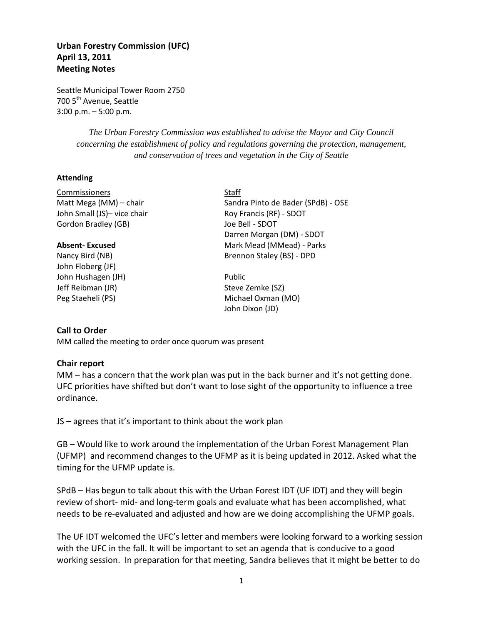# **Urban Forestry Commission (UFC) April 13, 2011 Meeting Notes**

Seattle Municipal Tower Room 2750 700 5<sup>th</sup> Avenue, Seattle 3:00 p.m. – 5:00 p.m.

> *The Urban Forestry Commission was established to advise the Mayor and City Council concerning the establishment of policy and regulations governing the protection, management, and conservation of trees and vegetation in the City of Seattle*

> > Darren Morgan (DM) - SDOT

#### **Attending**

Commissioners Staff Matt Mega (MM) – chair Sandra Pinto de Bader (SPdB) - OSE John Small (JS)- vice chair Roy Francis (RF) - SDOT Gordon Bradley (GB) Joe Bell - SDOT

#### **Absent-Excused** Mark Mead (MMead) - Parks

Nancy Bird (NB) Brennon Staley (BS) - DPD John Floberg (JF) John Hushagen (JH) Public Jeff Reibman (JR) Steve Zemke (SZ) Peg Staeheli (PS) Michael Oxman (MO)

## **Call to Order**

MM called the meeting to order once quorum was present

#### **Chair report**

MM – has a concern that the work plan was put in the back burner and it's not getting done. UFC priorities have shifted but don't want to lose sight of the opportunity to influence a tree ordinance.

John Dixon (JD)

JS – agrees that it's important to think about the work plan

GB – Would like to work around the implementation of the Urban Forest Management Plan (UFMP) and recommend changes to the UFMP as it is being updated in 2012. Asked what the timing for the UFMP update is.

SPdB – Has begun to talk about this with the Urban Forest IDT (UF IDT) and they will begin review of short- mid- and long-term goals and evaluate what has been accomplished, what needs to be re-evaluated and adjusted and how are we doing accomplishing the UFMP goals.

The UF IDT welcomed the UFC's letter and members were looking forward to a working session with the UFC in the fall. It will be important to set an agenda that is conducive to a good working session. In preparation for that meeting, Sandra believes that it might be better to do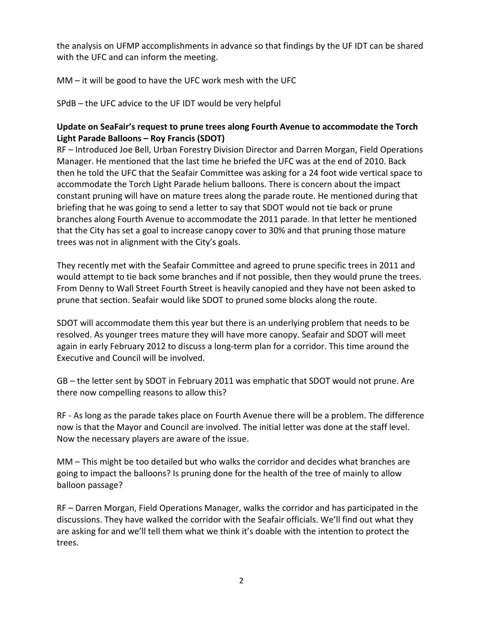the analysis on UFMP accomplishments in advance so that findings by the UF IDT can be shared with the UFC and can inform the meeting.

MM – it will be good to have the UFC work mesh with the UFC

SPdB – the UFC advice to the UF IDT would be very helpful

# **Update on SeaFair's request to prune trees along Fourth Avenue to accommodate the Torch Light Parade Balloons – Roy Francis (SDOT)**

RF – Introduced Joe Bell, Urban Forestry Division Director and Darren Morgan, Field Operations Manager. He mentioned that the last time he briefed the UFC was at the end of 2010. Back then he told the UFC that the Seafair Committee was asking for a 24 foot wide vertical space to accommodate the Torch Light Parade helium balloons. There is concern about the impact constant pruning will have on mature trees along the parade route. He mentioned during that briefing that he was going to send a letter to say that SDOT would not tie back or prune branches along Fourth Avenue to accommodate the 2011 parade. In that letter he mentioned that the City has set a goal to increase canopy cover to 30% and that pruning those mature trees was not in alignment with the City's goals.

They recently met with the Seafair Committee and agreed to prune specific trees in 2011 and would attempt to tie back some branches and if not possible, then they would prune the trees. From Denny to Wall Street Fourth Street is heavily canopied and they have not been asked to prune that section. Seafair would like SDOT to pruned some blocks along the route.

SDOT will accommodate them this year but there is an underlying problem that needs to be resolved. As younger trees mature they will have more canopy. Seafair and SDOT will meet again in early February 2012 to discuss a long-term plan for a corridor. This time around the Executive and Council will be involved.

GB – the letter sent by SDOT in February 2011 was emphatic that SDOT would not prune. Are there now compelling reasons to allow this?

RF - As long as the parade takes place on Fourth Avenue there will be a problem. The difference now is that the Mayor and Council are involved. The initial letter was done at the staff level. Now the necessary players are aware of the issue.

MM – This might be too detailed but who walks the corridor and decides what branches are going to impact the balloons? Is pruning done for the health of the tree of mainly to allow balloon passage?

RF – Darren Morgan, Field Operations Manager, walks the corridor and has participated in the discussions. They have walked the corridor with the Seafair officials. We'll find out what they are asking for and we'll tell them what we think it's doable with the intention to protect the trees.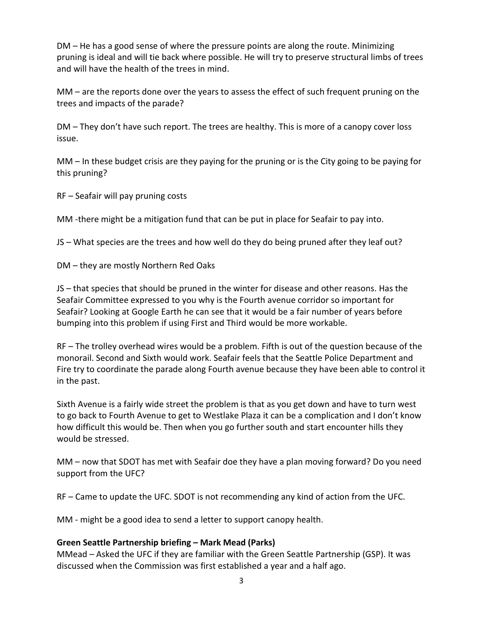DM – He has a good sense of where the pressure points are along the route. Minimizing pruning is ideal and will tie back where possible. He will try to preserve structural limbs of trees and will have the health of the trees in mind.

MM – are the reports done over the years to assess the effect of such frequent pruning on the trees and impacts of the parade?

DM – They don't have such report. The trees are healthy. This is more of a canopy cover loss issue.

MM – In these budget crisis are they paying for the pruning or is the City going to be paying for this pruning?

RF – Seafair will pay pruning costs

MM -there might be a mitigation fund that can be put in place for Seafair to pay into.

JS – What species are the trees and how well do they do being pruned after they leaf out?

DM – they are mostly Northern Red Oaks

JS – that species that should be pruned in the winter for disease and other reasons. Has the Seafair Committee expressed to you why is the Fourth avenue corridor so important for Seafair? Looking at Google Earth he can see that it would be a fair number of years before bumping into this problem if using First and Third would be more workable.

RF – The trolley overhead wires would be a problem. Fifth is out of the question because of the monorail. Second and Sixth would work. Seafair feels that the Seattle Police Department and Fire try to coordinate the parade along Fourth avenue because they have been able to control it in the past.

Sixth Avenue is a fairly wide street the problem is that as you get down and have to turn west to go back to Fourth Avenue to get to Westlake Plaza it can be a complication and I don't know how difficult this would be. Then when you go further south and start encounter hills they would be stressed.

MM – now that SDOT has met with Seafair doe they have a plan moving forward? Do you need support from the UFC?

RF – Came to update the UFC. SDOT is not recommending any kind of action from the UFC.

MM - might be a good idea to send a letter to support canopy health.

# **Green Seattle Partnership briefing – Mark Mead (Parks)**

MMead – Asked the UFC if they are familiar with the Green Seattle Partnership (GSP). It was discussed when the Commission was first established a year and a half ago.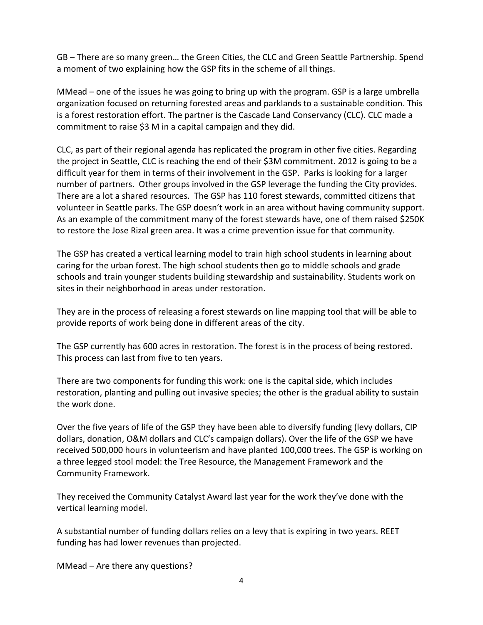GB – There are so many green… the Green Cities, the CLC and Green Seattle Partnership. Spend a moment of two explaining how the GSP fits in the scheme of all things.

MMead – one of the issues he was going to bring up with the program. GSP is a large umbrella organization focused on returning forested areas and parklands to a sustainable condition. This is a forest restoration effort. The partner is the Cascade Land Conservancy (CLC). CLC made a commitment to raise \$3 M in a capital campaign and they did.

CLC, as part of their regional agenda has replicated the program in other five cities. Regarding the project in Seattle, CLC is reaching the end of their \$3M commitment. 2012 is going to be a difficult year for them in terms of their involvement in the GSP. Parks is looking for a larger number of partners. Other groups involved in the GSP leverage the funding the City provides. There are a lot a shared resources. The GSP has 110 forest stewards, committed citizens that volunteer in Seattle parks. The GSP doesn't work in an area without having community support. As an example of the commitment many of the forest stewards have, one of them raised \$250K to restore the Jose Rizal green area. It was a crime prevention issue for that community.

The GSP has created a vertical learning model to train high school students in learning about caring for the urban forest. The high school students then go to middle schools and grade schools and train younger students building stewardship and sustainability. Students work on sites in their neighborhood in areas under restoration.

They are in the process of releasing a forest stewards on line mapping tool that will be able to provide reports of work being done in different areas of the city.

The GSP currently has 600 acres in restoration. The forest is in the process of being restored. This process can last from five to ten years.

There are two components for funding this work: one is the capital side, which includes restoration, planting and pulling out invasive species; the other is the gradual ability to sustain the work done.

Over the five years of life of the GSP they have been able to diversify funding (levy dollars, CIP dollars, donation, O&M dollars and CLC's campaign dollars). Over the life of the GSP we have received 500,000 hours in volunteerism and have planted 100,000 trees. The GSP is working on a three legged stool model: the Tree Resource, the Management Framework and the Community Framework.

They received the Community Catalyst Award last year for the work they've done with the vertical learning model.

A substantial number of funding dollars relies on a levy that is expiring in two years. REET funding has had lower revenues than projected.

MMead – Are there any questions?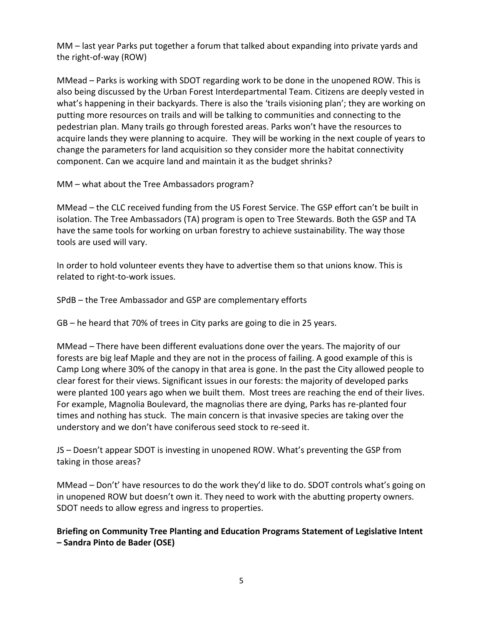MM – last year Parks put together a forum that talked about expanding into private yards and the right-of-way (ROW)

MMead – Parks is working with SDOT regarding work to be done in the unopened ROW. This is also being discussed by the Urban Forest Interdepartmental Team. Citizens are deeply vested in what's happening in their backyards. There is also the 'trails visioning plan'; they are working on putting more resources on trails and will be talking to communities and connecting to the pedestrian plan. Many trails go through forested areas. Parks won't have the resources to acquire lands they were planning to acquire. They will be working in the next couple of years to change the parameters for land acquisition so they consider more the habitat connectivity component. Can we acquire land and maintain it as the budget shrinks?

MM – what about the Tree Ambassadors program?

MMead – the CLC received funding from the US Forest Service. The GSP effort can't be built in isolation. The Tree Ambassadors (TA) program is open to Tree Stewards. Both the GSP and TA have the same tools for working on urban forestry to achieve sustainability. The way those tools are used will vary.

In order to hold volunteer events they have to advertise them so that unions know. This is related to right-to-work issues.

SPdB – the Tree Ambassador and GSP are complementary efforts

GB – he heard that 70% of trees in City parks are going to die in 25 years.

MMead – There have been different evaluations done over the years. The majority of our forests are big leaf Maple and they are not in the process of failing. A good example of this is Camp Long where 30% of the canopy in that area is gone. In the past the City allowed people to clear forest for their views. Significant issues in our forests: the majority of developed parks were planted 100 years ago when we built them. Most trees are reaching the end of their lives. For example, Magnolia Boulevard, the magnolias there are dying, Parks has re-planted four times and nothing has stuck. The main concern is that invasive species are taking over the understory and we don't have coniferous seed stock to re-seed it.

JS – Doesn't appear SDOT is investing in unopened ROW. What's preventing the GSP from taking in those areas?

MMead – Don't' have resources to do the work they'd like to do. SDOT controls what's going on in unopened ROW but doesn't own it. They need to work with the abutting property owners. SDOT needs to allow egress and ingress to properties.

**Briefing on Community Tree Planting and Education Programs Statement of Legislative Intent – Sandra Pinto de Bader (OSE)**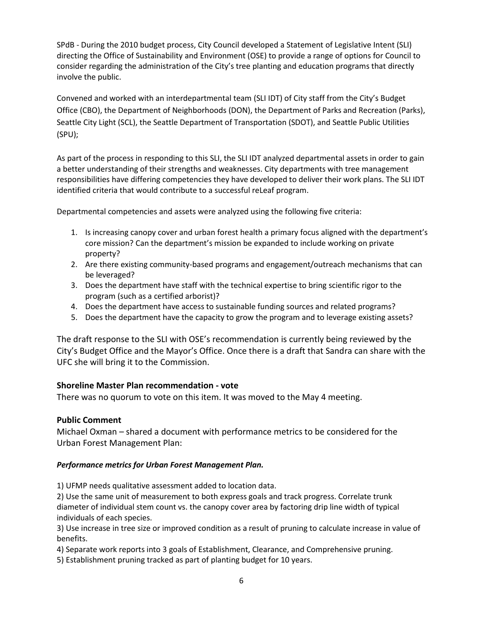SPdB - During the 2010 budget process, City Council developed a Statement of Legislative Intent (SLI) directing the Office of Sustainability and Environment (OSE) to provide a range of options for Council to consider regarding the administration of the City's tree planting and education programs that directly involve the public.

Convened and worked with an interdepartmental team (SLI IDT) of City staff from the City's Budget Office (CBO), the Department of Neighborhoods (DON), the Department of Parks and Recreation (Parks), Seattle City Light (SCL), the Seattle Department of Transportation (SDOT), and Seattle Public Utilities (SPU);

As part of the process in responding to this SLI, the SLI IDT analyzed departmental assets in order to gain a better understanding of their strengths and weaknesses. City departments with tree management responsibilities have differing competencies they have developed to deliver their work plans. The SLI IDT identified criteria that would contribute to a successful reLeaf program.

Departmental competencies and assets were analyzed using the following five criteria:

- 1. Is increasing canopy cover and urban forest health a primary focus aligned with the department's core mission? Can the department's mission be expanded to include working on private property?
- 2. Are there existing community-based programs and engagement/outreach mechanisms that can be leveraged?
- 3. Does the department have staff with the technical expertise to bring scientific rigor to the program (such as a certified arborist)?
- 4. Does the department have access to sustainable funding sources and related programs?
- 5. Does the department have the capacity to grow the program and to leverage existing assets?

The draft response to the SLI with OSE's recommendation is currently being reviewed by the City's Budget Office and the Mayor's Office. Once there is a draft that Sandra can share with the UFC she will bring it to the Commission.

#### **Shoreline Master Plan recommendation - vote**

There was no quorum to vote on this item. It was moved to the May 4 meeting.

#### **Public Comment**

Michael Oxman – shared a document with performance metrics to be considered for the Urban Forest Management Plan:

#### *Performance metrics for Urban Forest Management Plan.*

1) UFMP needs qualitative assessment added to location data.

2) Use the same unit of measurement to both express goals and track progress. Correlate trunk diameter of individual stem count vs. the canopy cover area by factoring drip line width of typical individuals of each species.

3) Use increase in tree size or improved condition as a result of pruning to calculate increase in value of benefits.

- 4) Separate work reports into 3 goals of Establishment, Clearance, and Comprehensive pruning.
- 5) Establishment pruning tracked as part of planting budget for 10 years.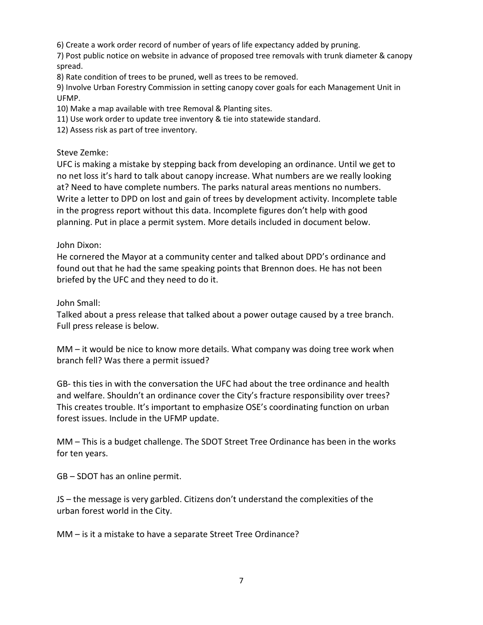6) Create a work order record of number of years of life expectancy added by pruning.

7) Post public notice on website in advance of proposed tree removals with trunk diameter & canopy spread.

8) Rate condition of trees to be pruned, well as trees to be removed.

9) Involve Urban Forestry Commission in setting canopy cover goals for each Management Unit in UFMP.

10) Make a map available with tree Removal & Planting sites.

11) Use work order to update tree inventory & tie into statewide standard.

12) Assess risk as part of tree inventory.

## Steve Zemke:

UFC is making a mistake by stepping back from developing an ordinance. Until we get to no net loss it's hard to talk about canopy increase. What numbers are we really looking at? Need to have complete numbers. The parks natural areas mentions no numbers. Write a letter to DPD on lost and gain of trees by development activity. Incomplete table in the progress report without this data. Incomplete figures don't help with good planning. Put in place a permit system. More details included in document below.

## John Dixon:

He cornered the Mayor at a community center and talked about DPD's ordinance and found out that he had the same speaking points that Brennon does. He has not been briefed by the UFC and they need to do it.

John Small:

Talked about a press release that talked about a power outage caused by a tree branch. Full press release is below.

MM – it would be nice to know more details. What company was doing tree work when branch fell? Was there a permit issued?

GB- this ties in with the conversation the UFC had about the tree ordinance and health and welfare. Shouldn't an ordinance cover the City's fracture responsibility over trees? This creates trouble. It's important to emphasize OSE's coordinating function on urban forest issues. Include in the UFMP update.

MM – This is a budget challenge. The SDOT Street Tree Ordinance has been in the works for ten years.

GB – SDOT has an online permit.

JS – the message is very garbled. Citizens don't understand the complexities of the urban forest world in the City.

MM – is it a mistake to have a separate Street Tree Ordinance?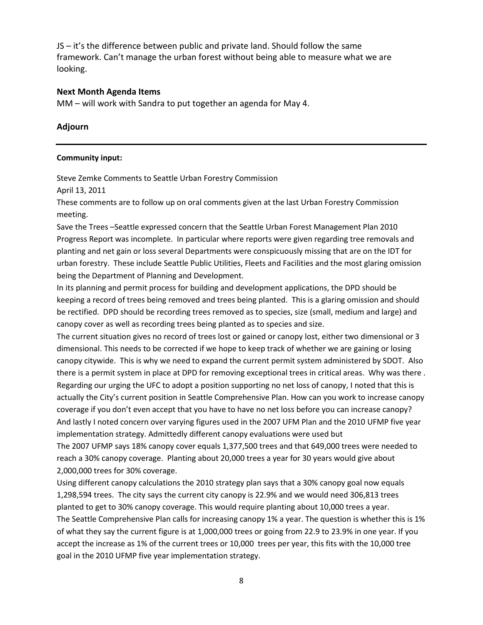JS – it's the difference between public and private land. Should follow the same framework. Can't manage the urban forest without being able to measure what we are looking.

## **Next Month Agenda Items**

MM – will work with Sandra to put together an agenda for May 4.

## **Adjourn**

#### **Community input:**

Steve Zemke Comments to Seattle Urban Forestry Commission

April 13, 2011

These comments are to follow up on oral comments given at the last Urban Forestry Commission meeting.

Save the Trees –Seattle expressed concern that the Seattle Urban Forest Management Plan 2010 Progress Report was incomplete. In particular where reports were given regarding tree removals and planting and net gain or loss several Departments were conspicuously missing that are on the IDT for urban forestry. These include Seattle Public Utilities, Fleets and Facilities and the most glaring omission being the Department of Planning and Development.

In its planning and permit process for building and development applications, the DPD should be keeping a record of trees being removed and trees being planted. This is a glaring omission and should be rectified. DPD should be recording trees removed as to species, size (small, medium and large) and canopy cover as well as recording trees being planted as to species and size.

The current situation gives no record of trees lost or gained or canopy lost, either two dimensional or 3 dimensional. This needs to be corrected if we hope to keep track of whether we are gaining or losing canopy citywide. This is why we need to expand the current permit system administered by SDOT. Also there is a permit system in place at DPD for removing exceptional trees in critical areas. Why was there . Regarding our urging the UFC to adopt a position supporting no net loss of canopy, I noted that this is actually the City's current position in Seattle Comprehensive Plan. How can you work to increase canopy coverage if you don't even accept that you have to have no net loss before you can increase canopy? And lastly I noted concern over varying figures used in the 2007 UFM Plan and the 2010 UFMP five year implementation strategy. Admittedly different canopy evaluations were used but

The 2007 UFMP says 18% canopy cover equals 1,377,500 trees and that 649,000 trees were needed to reach a 30% canopy coverage. Planting about 20,000 trees a year for 30 years would give about 2,000,000 trees for 30% coverage.

Using different canopy calculations the 2010 strategy plan says that a 30% canopy goal now equals 1,298,594 trees. The city says the current city canopy is 22.9% and we would need 306,813 trees planted to get to 30% canopy coverage. This would require planting about 10,000 trees a year. The Seattle Comprehensive Plan calls for increasing canopy 1% a year. The question is whether this is 1% of what they say the current figure is at 1,000,000 trees or going from 22.9 to 23.9% in one year. If you accept the increase as 1% of the current trees or 10,000 trees per year, this fits with the 10,000 tree goal in the 2010 UFMP five year implementation strategy.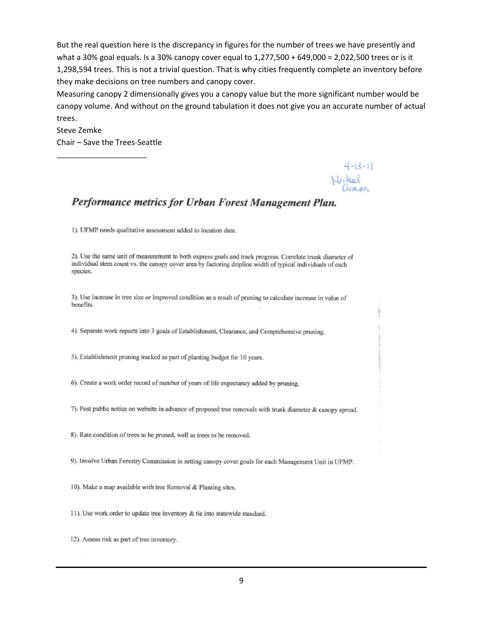But the real question here is the discrepancy in figures for the number of trees we have presently and what a 30% goal equals. Is a 30% canopy cover equal to 1,277,500 + 649,000 = 2,022,500 trees or is it 1,298,594 trees. This is not a trivial question. That is why cities frequently complete an inventory before they make decisions on tree numbers and canopy cover.

Measuring canopy 2 dimensionally gives you a canopy value but the more significant number would be canopy volume. And without on the ground tabulation it does not give you an accurate number of actual trees.

Steve Zemke Chair – Save the Trees-Seattle

\_\_\_\_\_\_\_\_\_\_\_\_\_\_\_\_\_\_\_\_\_\_\_

 $4-13-11$ <br> $Vichael$ <br> $Oxman$ 

# Performance metrics for Urban Forest Management Plan.

1). UFMP needs qualitative assessment added to location data.

2). Use the same unit of measurement to both express goals and track progress. Correlate trunk diameter of individual stem count vs. the canopy cover area by factoring dripline width of typical individuals of each species.

3). Use increase in tree size or improved condition as a result of pruning to calculate increase in value of benefits.

4). Separate work reports into 3 goals of Establishment, Clearance, and Comprehensive pruning.

5). Establishment pruning tracked as part of planting budget for 10 years.

6). Create a work order record of number of years of life expectancy added by pruning.

7). Post public notice on website in advance of proposed tree removals with trunk diameter & canopy spread.

8). Rate condition of trees to be pruned, well as trees to be removed.

9). Involve Urban Forestry Commission in setting canopy cover goals for each Management Unit in UFMP.

10). Make a map available with tree Removal & Planting sites.

11). Use work order to update tree inventory & tie into statewide standard.

12). Assess risk as part of tree inventory.